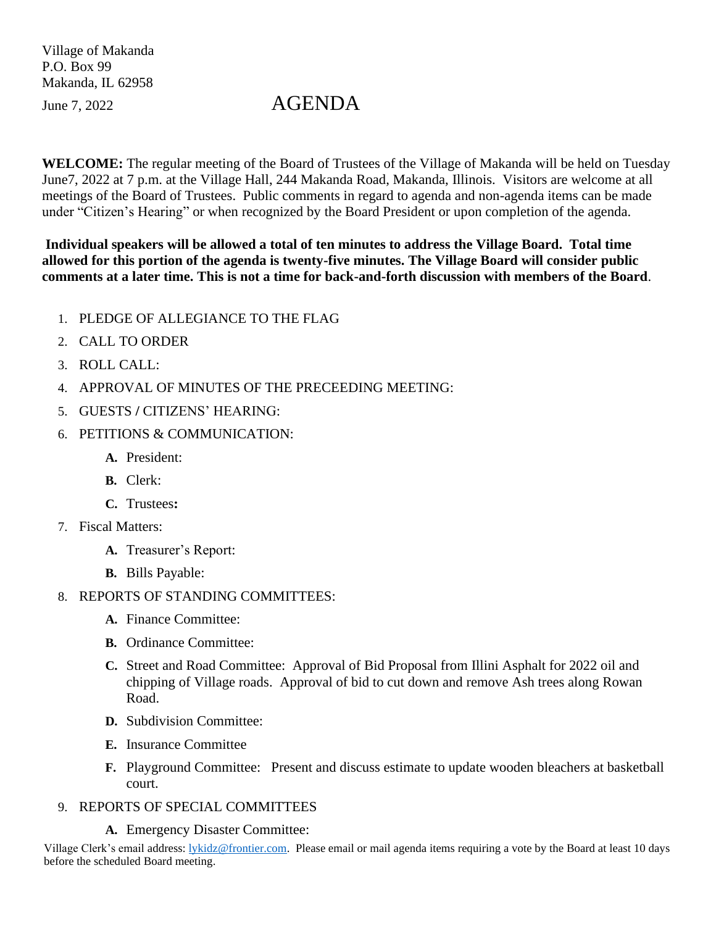Village of Makanda P.O. Box 99 Makanda, IL 62958

## June 7, 2022 AGENDA

**WELCOME:** The regular meeting of the Board of Trustees of the Village of Makanda will be held on Tuesday June7, 2022 at 7 p.m. at the Village Hall, 244 Makanda Road, Makanda, Illinois. Visitors are welcome at all meetings of the Board of Trustees. Public comments in regard to agenda and non-agenda items can be made under "Citizen's Hearing" or when recognized by the Board President or upon completion of the agenda.

**Individual speakers will be allowed a total of ten minutes to address the Village Board. Total time allowed for this portion of the agenda is twenty-five minutes. The Village Board will consider public comments at a later time. This is not a time for back-and-forth discussion with members of the Board**.

- 1. PLEDGE OF ALLEGIANCE TO THE FLAG
- 2. CALL TO ORDER
- 3. ROLL CALL:
- 4. APPROVAL OF MINUTES OF THE PRECEEDING MEETING:
- 5. GUESTS **/** CITIZENS' HEARING:
- 6. PETITIONS & COMMUNICATION:
	- **A.** President:
	- **B.** Clerk:
	- **C.** Trustees**:**
- 7. Fiscal Matters:
	- **A.** Treasurer's Report:
	- **B.** Bills Payable:
- 8. REPORTS OF STANDING COMMITTEES:
	- **A.** Finance Committee:
	- **B.** Ordinance Committee:
	- **C.** Street and Road Committee: Approval of Bid Proposal from Illini Asphalt for 2022 oil and chipping of Village roads. Approval of bid to cut down and remove Ash trees along Rowan Road.
	- **D.** Subdivision Committee:
	- **E.** Insurance Committee
	- **F.** Playground Committee: Present and discuss estimate to update wooden bleachers at basketball court.
- 9. REPORTS OF SPECIAL COMMITTEES
	- **A.** Emergency Disaster Committee:

Village Clerk's email address: [lykidz@frontier.com.](mailto:lykidz@frontier.com) Please email or mail agenda items requiring a vote by the Board at least 10 days before the scheduled Board meeting.